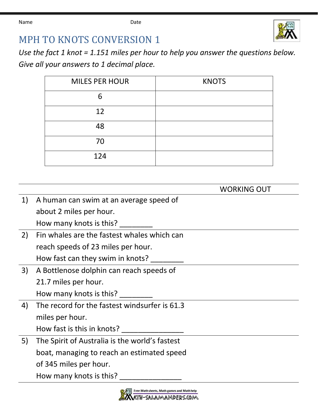Name **Date Date** 



## MPH TO KNOTS CONVERSION 1

*Use the fact 1 knot = 1.151 miles per hour to help you answer the questions below. Give all your answers to 1 decimal place.*

| <b>MILES PER HOUR</b> | <b>KNOTS</b> |
|-----------------------|--------------|
| 6                     |              |
| 12                    |              |
| 48                    |              |
| 70                    |              |
| 124                   |              |

|    |                                                | <b>WORKING OUT</b> |
|----|------------------------------------------------|--------------------|
| 1) | A human can swim at an average speed of        |                    |
|    | about 2 miles per hour.                        |                    |
|    | How many knots is this?                        |                    |
| 2) | Fin whales are the fastest whales which can    |                    |
|    | reach speeds of 23 miles per hour.             |                    |
|    | How fast can they swim in knots?               |                    |
| 3) | A Bottlenose dolphin can reach speeds of       |                    |
|    | 21.7 miles per hour.                           |                    |
|    | How many knots is this?                        |                    |
| 4) | The record for the fastest windsurfer is 61.3  |                    |
|    | miles per hour.                                |                    |
|    | How fast is this in knots?                     |                    |
| 5) | The Spirit of Australia is the world's fastest |                    |
|    | boat, managing to reach an estimated speed     |                    |
|    | of 345 miles per hour.                         |                    |
|    | How many knots is this?                        |                    |